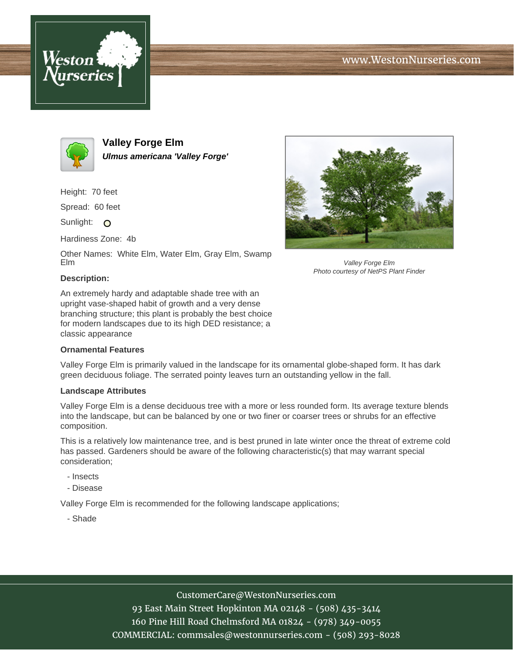





**Valley Forge Elm Ulmus americana 'Valley Forge'**

Height: 70 feet

Spread: 60 feet

Sunlight: O

Hardiness Zone: 4b

Other Names: White Elm, Water Elm, Gray Elm, Swamp Elm



Valley Forge Elm Photo courtesy of NetPS Plant Finder

## **Description:**

An extremely hardy and adaptable shade tree with an upright vase-shaped habit of growth and a very dense branching structure; this plant is probably the best choice for modern landscapes due to its high DED resistance; a classic appearance

## **Ornamental Features**

Valley Forge Elm is primarily valued in the landscape for its ornamental globe-shaped form. It has dark green deciduous foliage. The serrated pointy leaves turn an outstanding yellow in the fall.

## **Landscape Attributes**

Valley Forge Elm is a dense deciduous tree with a more or less rounded form. Its average texture blends into the landscape, but can be balanced by one or two finer or coarser trees or shrubs for an effective composition.

This is a relatively low maintenance tree, and is best pruned in late winter once the threat of extreme cold has passed. Gardeners should be aware of the following characteristic(s) that may warrant special consideration;

- Insects
- Disease

Valley Forge Elm is recommended for the following landscape applications;

- Shade

CustomerCare@WestonNurseries.com

93 East Main Street Hopkinton MA 02148 - (508) 435-3414 160 Pine Hill Road Chelmsford MA 01824 - (978) 349-0055 COMMERCIAL: commsales@westonnurseries.com - (508) 293-8028